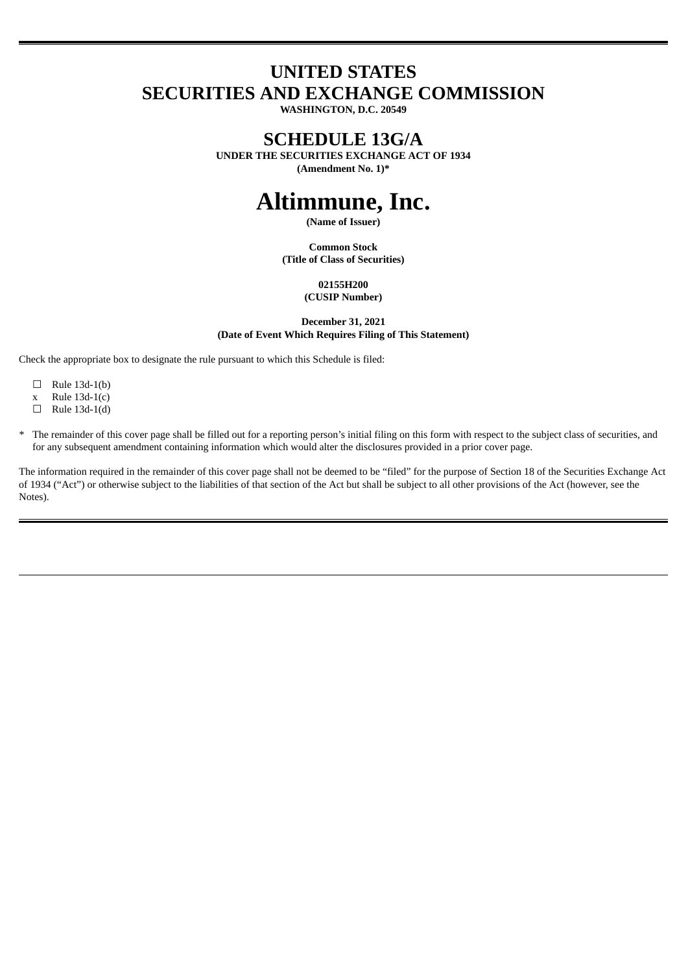# **UNITED STATES SECURITIES AND EXCHANGE COMMISSION**

**WASHINGTON, D.C. 20549**

## **SCHEDULE 13G/A**

**UNDER THE SECURITIES EXCHANGE ACT OF 1934 (Amendment No. 1)\***

# **Altimmune, Inc.**

**(Name of Issuer)**

**Common Stock (Title of Class of Securities)**

> **02155H200 (CUSIP Number)**

**December 31, 2021 (Date of Event Which Requires Filing of This Statement)**

Check the appropriate box to designate the rule pursuant to which this Schedule is filed:

- $\Box$  Rule 13d-1(b)
- x Rule 13d-1(c)
- $\Box$  Rule 13d-1(d)
- \* The remainder of this cover page shall be filled out for a reporting person's initial filing on this form with respect to the subject class of securities, and for any subsequent amendment containing information which would alter the disclosures provided in a prior cover page.

The information required in the remainder of this cover page shall not be deemed to be "filed" for the purpose of Section 18 of the Securities Exchange Act of 1934 ("Act") or otherwise subject to the liabilities of that section of the Act but shall be subject to all other provisions of the Act (however, see the Notes).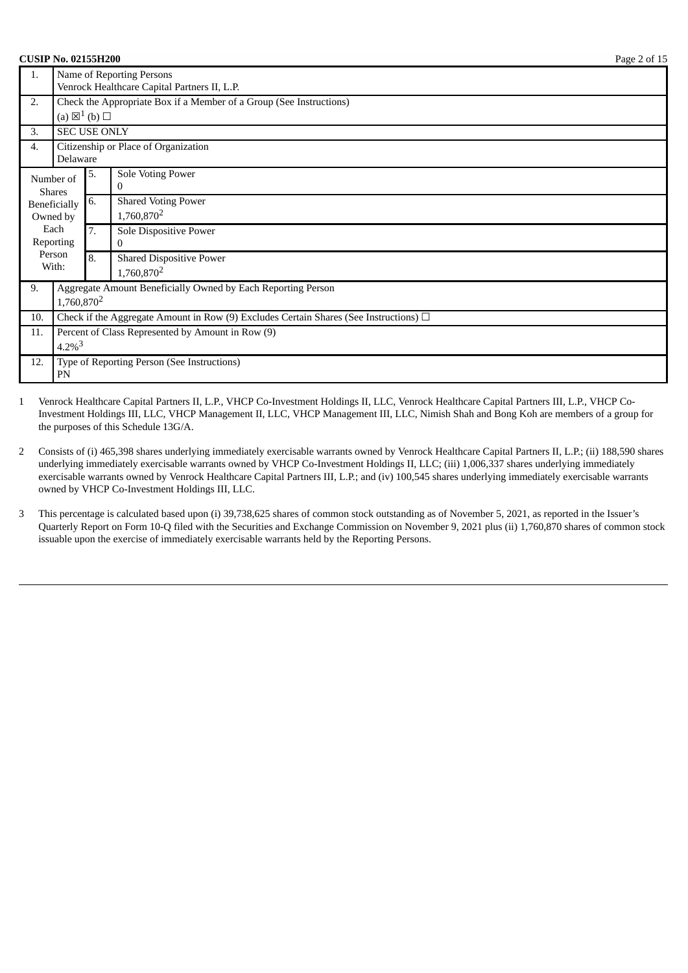| <b>CUSIP No. 02155H200</b>                             |                                                                                            |                                                                           |                                                                     | Page 2 of 15 |  |  |
|--------------------------------------------------------|--------------------------------------------------------------------------------------------|---------------------------------------------------------------------------|---------------------------------------------------------------------|--------------|--|--|
| 1.                                                     |                                                                                            | Name of Reporting Persons<br>Venrock Healthcare Capital Partners II, L.P. |                                                                     |              |  |  |
| 2.                                                     |                                                                                            |                                                                           | Check the Appropriate Box if a Member of a Group (See Instructions) |              |  |  |
| 3.                                                     | (a) $\boxtimes^1$ (b) $\square$<br><b>SEC USE ONLY</b>                                     |                                                                           |                                                                     |              |  |  |
| 4.                                                     | Delaware                                                                                   |                                                                           | Citizenship or Place of Organization                                |              |  |  |
| Number of<br><b>Shares</b><br>Beneficially<br>Owned by |                                                                                            | 5.                                                                        | Sole Voting Power<br>0                                              |              |  |  |
|                                                        |                                                                                            | 6.                                                                        | <b>Shared Voting Power</b><br>1,760,870 <sup>2</sup>                |              |  |  |
| Each<br>Reporting                                      |                                                                                            | 7.                                                                        | Sole Dispositive Power<br>$\Omega$                                  |              |  |  |
| Person<br>With:                                        |                                                                                            | 8.                                                                        | <b>Shared Dispositive Power</b><br>1,760,870 <sup>2</sup>           |              |  |  |
| 9.                                                     | Aggregate Amount Beneficially Owned by Each Reporting Person<br>1,760,870 <sup>2</sup>     |                                                                           |                                                                     |              |  |  |
| 10.                                                    | Check if the Aggregate Amount in Row (9) Excludes Certain Shares (See Instructions) $\Box$ |                                                                           |                                                                     |              |  |  |
| 11.                                                    | Percent of Class Represented by Amount in Row (9)<br>$4.2\%$ <sup>3</sup>                  |                                                                           |                                                                     |              |  |  |
| 12.                                                    | Type of Reporting Person (See Instructions)<br>PN                                          |                                                                           |                                                                     |              |  |  |
|                                                        |                                                                                            |                                                                           |                                                                     |              |  |  |

1 Venrock Healthcare Capital Partners II, L.P., VHCP Co-Investment Holdings II, LLC, Venrock Healthcare Capital Partners III, L.P., VHCP Co-Investment Holdings III, LLC, VHCP Management II, LLC, VHCP Management III, LLC, Nimish Shah and Bong Koh are members of a group for the purposes of this Schedule 13G/A.

2 Consists of (i) 465,398 shares underlying immediately exercisable warrants owned by Venrock Healthcare Capital Partners II, L.P.; (ii) 188,590 shares underlying immediately exercisable warrants owned by VHCP Co-Investment Holdings II, LLC; (iii) 1,006,337 shares underlying immediately exercisable warrants owned by Venrock Healthcare Capital Partners III, L.P.; and (iv) 100,545 shares underlying immediately exercisable warrants owned by VHCP Co-Investment Holdings III, LLC.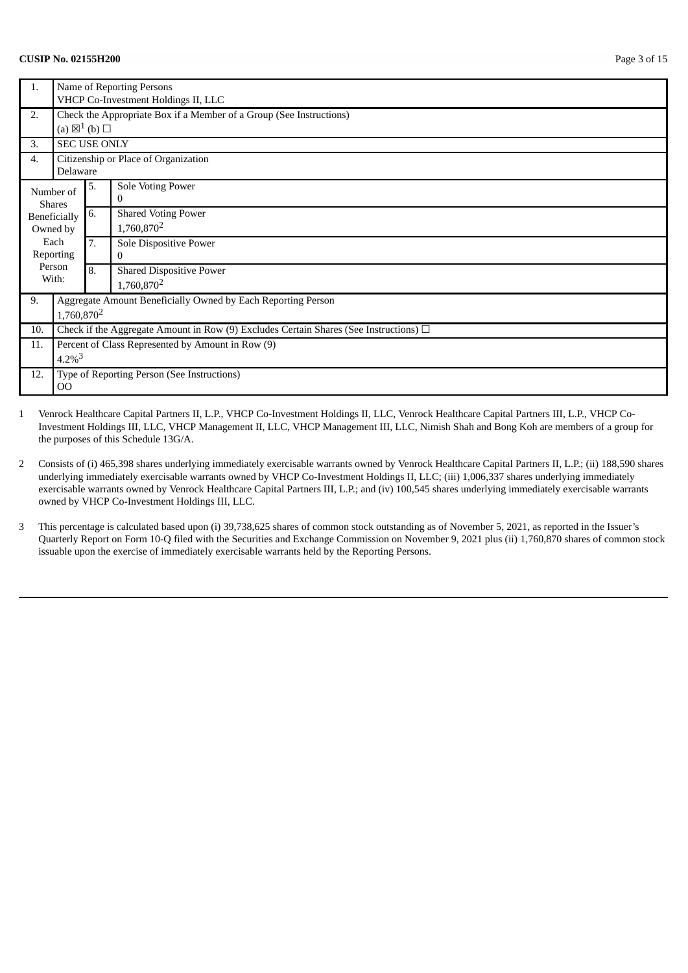#### **CUSIP No. 02155H200** Page 3 of 15

| 1.                       | Name of Reporting Persons<br>VHCP Co-Investment Holdings II, LLC                           |    |                                                           |  |  |
|--------------------------|--------------------------------------------------------------------------------------------|----|-----------------------------------------------------------|--|--|
| 2.                       | Check the Appropriate Box if a Member of a Group (See Instructions)                        |    |                                                           |  |  |
|                          | (a) $\boxtimes^1$ (b) $\square$                                                            |    |                                                           |  |  |
| 3.                       | <b>SEC USE ONLY</b>                                                                        |    |                                                           |  |  |
| 4.                       | Delaware                                                                                   |    | Citizenship or Place of Organization                      |  |  |
|                          | Number of<br><b>Shares</b>                                                                 |    | Sole Voting Power<br>0                                    |  |  |
| Beneficially<br>Owned by |                                                                                            | 6. | <b>Shared Voting Power</b><br>1,760,870 <sup>2</sup>      |  |  |
| Each<br><b>Reporting</b> |                                                                                            | 7. | Sole Dispositive Power<br>$\Omega$                        |  |  |
| Person<br>With:          |                                                                                            | 8. | <b>Shared Dispositive Power</b><br>1,760,870 <sup>2</sup> |  |  |
| 9.                       | Aggregate Amount Beneficially Owned by Each Reporting Person<br>1,760,870 <sup>2</sup>     |    |                                                           |  |  |
| 10.                      | Check if the Aggregate Amount in Row (9) Excludes Certain Shares (See Instructions) $\Box$ |    |                                                           |  |  |
| 11.                      | Percent of Class Represented by Amount in Row (9)<br>$4.2\%$ <sup>3</sup>                  |    |                                                           |  |  |
| 12.                      | Type of Reporting Person (See Instructions)<br>$_{\rm OO}$                                 |    |                                                           |  |  |

1 Venrock Healthcare Capital Partners II, L.P., VHCP Co-Investment Holdings II, LLC, Venrock Healthcare Capital Partners III, L.P., VHCP Co-Investment Holdings III, LLC, VHCP Management II, LLC, VHCP Management III, LLC, Nimish Shah and Bong Koh are members of a group for the purposes of this Schedule 13G/A.

2 Consists of (i) 465,398 shares underlying immediately exercisable warrants owned by Venrock Healthcare Capital Partners II, L.P.; (ii) 188,590 shares underlying immediately exercisable warrants owned by VHCP Co-Investment Holdings II, LLC; (iii) 1,006,337 shares underlying immediately exercisable warrants owned by Venrock Healthcare Capital Partners III, L.P.; and (iv) 100,545 shares underlying immediately exercisable warrants owned by VHCP Co-Investment Holdings III, LLC.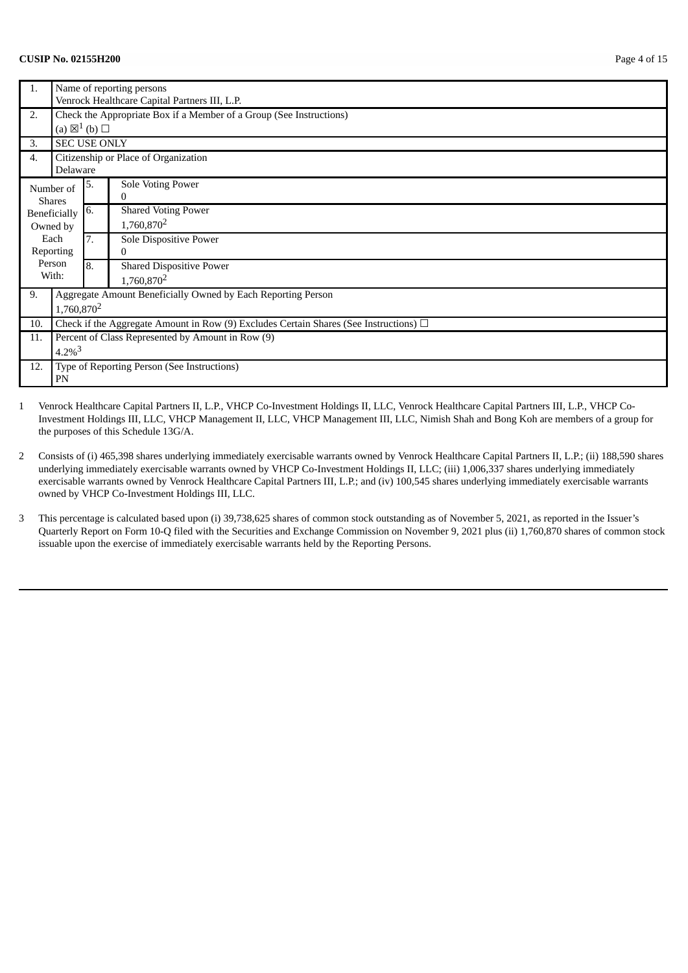#### **CUSIP No. 02155H200** Page 4 of 15

| 1.  | Name of reporting persons                                                                  |    |                                                                     |  |  |
|-----|--------------------------------------------------------------------------------------------|----|---------------------------------------------------------------------|--|--|
|     | Venrock Healthcare Capital Partners III, L.P.                                              |    |                                                                     |  |  |
| 2.  |                                                                                            |    | Check the Appropriate Box if a Member of a Group (See Instructions) |  |  |
|     | (a) $\boxtimes^1$ (b) $\square$                                                            |    |                                                                     |  |  |
| 3.  | <b>SEC USE ONLY</b>                                                                        |    |                                                                     |  |  |
| 4.  |                                                                                            |    | Citizenship or Place of Organization                                |  |  |
|     | Delaware                                                                                   |    |                                                                     |  |  |
|     | Number of                                                                                  | 5. | Sole Voting Power                                                   |  |  |
|     | <b>Shares</b>                                                                              |    | 0                                                                   |  |  |
|     | Beneficially                                                                               | 6. | <b>Shared Voting Power</b>                                          |  |  |
|     | Owned by                                                                                   |    | 1,760,870 <sup>2</sup>                                              |  |  |
|     | Each                                                                                       |    | Sole Dispositive Power                                              |  |  |
|     | <b>Reporting</b>                                                                           |    | 0                                                                   |  |  |
|     | Person                                                                                     | 8. | <b>Shared Dispositive Power</b>                                     |  |  |
|     | With:                                                                                      |    | 1,760,870 <sup>2</sup>                                              |  |  |
| 9.  |                                                                                            |    | Aggregate Amount Beneficially Owned by Each Reporting Person        |  |  |
|     | 1,760,870 <sup>2</sup>                                                                     |    |                                                                     |  |  |
| 10. | Check if the Aggregate Amount in Row (9) Excludes Certain Shares (See Instructions) $\Box$ |    |                                                                     |  |  |
| 11. |                                                                                            |    | Percent of Class Represented by Amount in Row (9)                   |  |  |
|     | $4.2\%$ <sup>3</sup>                                                                       |    |                                                                     |  |  |
| 12. |                                                                                            |    | Type of Reporting Person (See Instructions)                         |  |  |
|     | PN                                                                                         |    |                                                                     |  |  |

- 2 Consists of (i) 465,398 shares underlying immediately exercisable warrants owned by Venrock Healthcare Capital Partners II, L.P.; (ii) 188,590 shares underlying immediately exercisable warrants owned by VHCP Co-Investment Holdings II, LLC; (iii) 1,006,337 shares underlying immediately exercisable warrants owned by Venrock Healthcare Capital Partners III, L.P.; and (iv) 100,545 shares underlying immediately exercisable warrants owned by VHCP Co-Investment Holdings III, LLC.
- 3 This percentage is calculated based upon (i) 39,738,625 shares of common stock outstanding as of November 5, 2021, as reported in the Issuer's Quarterly Report on Form 10-Q filed with the Securities and Exchange Commission on November 9, 2021 plus (ii) 1,760,870 shares of common stock issuable upon the exercise of immediately exercisable warrants held by the Reporting Persons.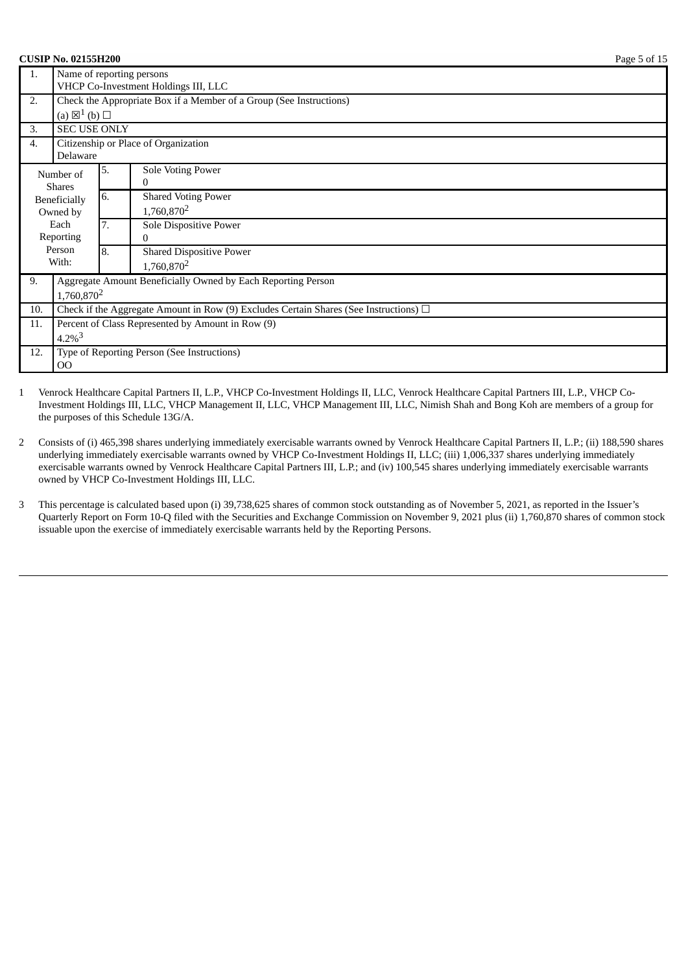| Page 5 of 15 |
|--------------|
|              |

| 1.                                                                        | Name of reporting persons                                                                  |    |                                                              |  |  |  |
|---------------------------------------------------------------------------|--------------------------------------------------------------------------------------------|----|--------------------------------------------------------------|--|--|--|
|                                                                           | VHCP Co-Investment Holdings III, LLC                                                       |    |                                                              |  |  |  |
| Check the Appropriate Box if a Member of a Group (See Instructions)<br>2. |                                                                                            |    |                                                              |  |  |  |
|                                                                           | (a) $\boxtimes^1$ (b) $\square$                                                            |    |                                                              |  |  |  |
| 3.                                                                        | <b>SEC USE ONLY</b>                                                                        |    |                                                              |  |  |  |
| 4.                                                                        | Delaware                                                                                   |    | Citizenship or Place of Organization                         |  |  |  |
|                                                                           | Number of                                                                                  | 5. | Sole Voting Power                                            |  |  |  |
|                                                                           | <b>Shares</b>                                                                              |    | 0                                                            |  |  |  |
|                                                                           | Beneficially                                                                               | 6. | <b>Shared Voting Power</b>                                   |  |  |  |
| Owned by                                                                  |                                                                                            | 7. | 1,760,870 <sup>2</sup>                                       |  |  |  |
|                                                                           | Each                                                                                       |    | Sole Dispositive Power                                       |  |  |  |
|                                                                           | Reporting                                                                                  |    | 0                                                            |  |  |  |
|                                                                           | Person                                                                                     | 8. | <b>Shared Dispositive Power</b>                              |  |  |  |
| With:                                                                     |                                                                                            |    | 1,760,870 <sup>2</sup>                                       |  |  |  |
| 9.                                                                        |                                                                                            |    | Aggregate Amount Beneficially Owned by Each Reporting Person |  |  |  |
|                                                                           | 1,760,870 <sup>2</sup>                                                                     |    |                                                              |  |  |  |
| 10.                                                                       | Check if the Aggregate Amount in Row (9) Excludes Certain Shares (See Instructions) $\Box$ |    |                                                              |  |  |  |
| Percent of Class Represented by Amount in Row (9)<br>11.                  |                                                                                            |    |                                                              |  |  |  |
|                                                                           | $4.2\%$ <sup>3</sup>                                                                       |    |                                                              |  |  |  |
| 12.                                                                       |                                                                                            |    | Type of Reporting Person (See Instructions)                  |  |  |  |
|                                                                           | $_{\rm OO}$                                                                                |    |                                                              |  |  |  |

1 Venrock Healthcare Capital Partners II, L.P., VHCP Co-Investment Holdings II, LLC, Venrock Healthcare Capital Partners III, L.P., VHCP Co-Investment Holdings III, LLC, VHCP Management II, LLC, VHCP Management III, LLC, Nimish Shah and Bong Koh are members of a group for the purposes of this Schedule 13G/A.

2 Consists of (i) 465,398 shares underlying immediately exercisable warrants owned by Venrock Healthcare Capital Partners II, L.P.; (ii) 188,590 shares underlying immediately exercisable warrants owned by VHCP Co-Investment Holdings II, LLC; (iii) 1,006,337 shares underlying immediately exercisable warrants owned by Venrock Healthcare Capital Partners III, L.P.; and (iv) 100,545 shares underlying immediately exercisable warrants owned by VHCP Co-Investment Holdings III, LLC.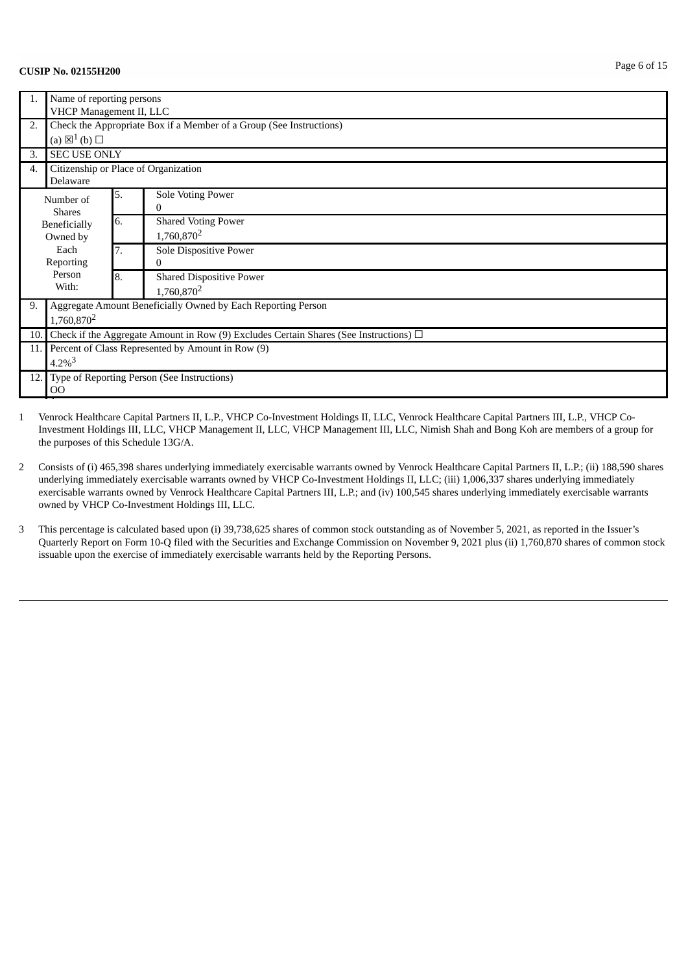|                   | Name of reporting persons<br>VHCP Management II, LLC                                       |    |                                                                     |  |  |
|-------------------|--------------------------------------------------------------------------------------------|----|---------------------------------------------------------------------|--|--|
| 2.                | (a) $\boxtimes^1$ (b) $\square$                                                            |    | Check the Appropriate Box if a Member of a Group (See Instructions) |  |  |
| 3.                | <b>SEC USE ONLY</b>                                                                        |    |                                                                     |  |  |
| 4.                | Delaware                                                                                   |    | Citizenship or Place of Organization                                |  |  |
|                   | Number of<br><b>Shares</b><br>Beneficially<br>Owned by                                     |    | Sole Voting Power<br>0                                              |  |  |
|                   |                                                                                            |    | <b>Shared Voting Power</b><br>1,760,870 <sup>2</sup>                |  |  |
| Each<br>Reporting |                                                                                            | 7. | Sole Dispositive Power<br>0                                         |  |  |
|                   | Person<br>With:                                                                            | 8. | <b>Shared Dispositive Power</b><br>1,760,870 <sup>2</sup>           |  |  |
| 9.                | Aggregate Amount Beneficially Owned by Each Reporting Person<br>1,760,870 <sup>2</sup>     |    |                                                                     |  |  |
| 10.               | Check if the Aggregate Amount in Row (9) Excludes Certain Shares (See Instructions) $\Box$ |    |                                                                     |  |  |
| 11.1              | Percent of Class Represented by Amount in Row (9)<br>$4.2\%$ <sup>3</sup>                  |    |                                                                     |  |  |
| 12.1              | Type of Reporting Person (See Instructions)<br>$00\,$                                      |    |                                                                     |  |  |

1 Venrock Healthcare Capital Partners II, L.P., VHCP Co-Investment Holdings II, LLC, Venrock Healthcare Capital Partners III, L.P., VHCP Co-Investment Holdings III, LLC, VHCP Management II, LLC, VHCP Management III, LLC, Nimish Shah and Bong Koh are members of a group for the purposes of this Schedule 13G/A.

2 Consists of (i) 465,398 shares underlying immediately exercisable warrants owned by Venrock Healthcare Capital Partners II, L.P.; (ii) 188,590 shares underlying immediately exercisable warrants owned by VHCP Co-Investment Holdings II, LLC; (iii) 1,006,337 shares underlying immediately exercisable warrants owned by Venrock Healthcare Capital Partners III, L.P.; and (iv) 100,545 shares underlying immediately exercisable warrants owned by VHCP Co-Investment Holdings III, LLC.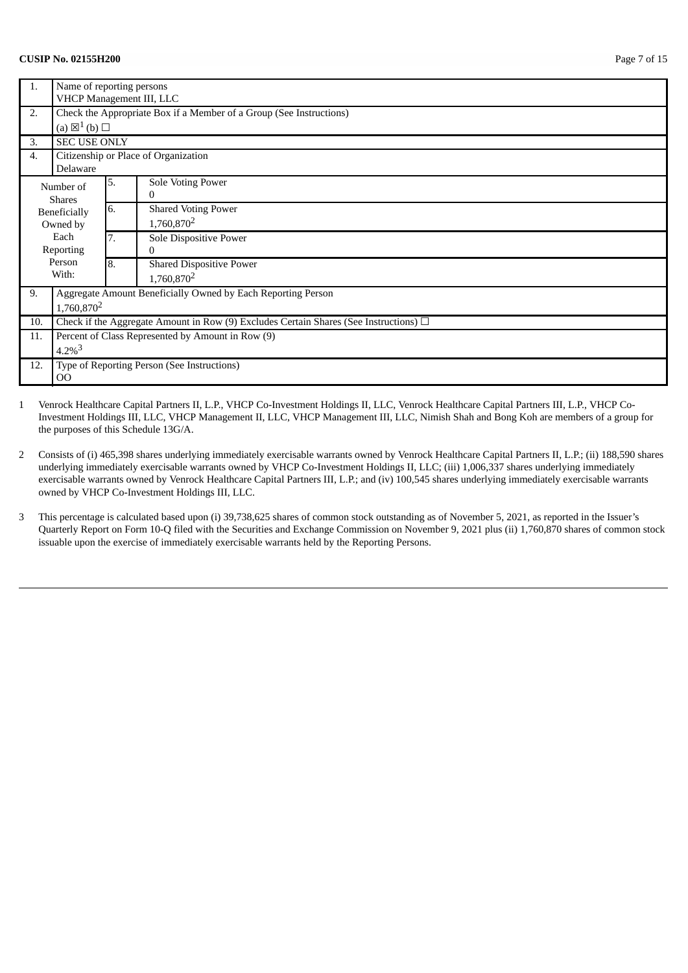### **CUSIP No. 02155H200** Page 7 of 15

| 1.                       | Name of reporting persons<br>VHCP Management III, LLC                                      |    |                                                                     |  |
|--------------------------|--------------------------------------------------------------------------------------------|----|---------------------------------------------------------------------|--|
| 2.                       | (a) $\boxtimes^1$ (b) $\square$                                                            |    | Check the Appropriate Box if a Member of a Group (See Instructions) |  |
| 3.                       | <b>SEC USE ONLY</b>                                                                        |    |                                                                     |  |
| 4.                       | Delaware                                                                                   |    | Citizenship or Place of Organization                                |  |
|                          | Number of<br><b>Shares</b>                                                                 |    | Sole Voting Power<br>$\bf{0}$                                       |  |
| Beneficially<br>Owned by |                                                                                            | 6. | <b>Shared Voting Power</b><br>1,760,870 <sup>2</sup>                |  |
| Each<br>Reporting        |                                                                                            | 7. | Sole Dispositive Power<br>0                                         |  |
| Person<br>With:          |                                                                                            | 8. | <b>Shared Dispositive Power</b><br>1,760,870 <sup>2</sup>           |  |
| 9.                       | Aggregate Amount Beneficially Owned by Each Reporting Person<br>1,760,870 <sup>2</sup>     |    |                                                                     |  |
| 10.                      | Check if the Aggregate Amount in Row (9) Excludes Certain Shares (See Instructions) $\Box$ |    |                                                                     |  |
| 11.                      |                                                                                            |    | Percent of Class Represented by Amount in Row (9)                   |  |
|                          | $4.2\%$ <sup>3</sup>                                                                       |    |                                                                     |  |
| 12.                      | Type of Reporting Person (See Instructions)<br>0 <sup>o</sup>                              |    |                                                                     |  |

- 2 Consists of (i) 465,398 shares underlying immediately exercisable warrants owned by Venrock Healthcare Capital Partners II, L.P.; (ii) 188,590 shares underlying immediately exercisable warrants owned by VHCP Co-Investment Holdings II, LLC; (iii) 1,006,337 shares underlying immediately exercisable warrants owned by Venrock Healthcare Capital Partners III, L.P.; and (iv) 100,545 shares underlying immediately exercisable warrants owned by VHCP Co-Investment Holdings III, LLC.
- 3 This percentage is calculated based upon (i) 39,738,625 shares of common stock outstanding as of November 5, 2021, as reported in the Issuer's Quarterly Report on Form 10-Q filed with the Securities and Exchange Commission on November 9, 2021 plus (ii) 1,760,870 shares of common stock issuable upon the exercise of immediately exercisable warrants held by the Reporting Persons.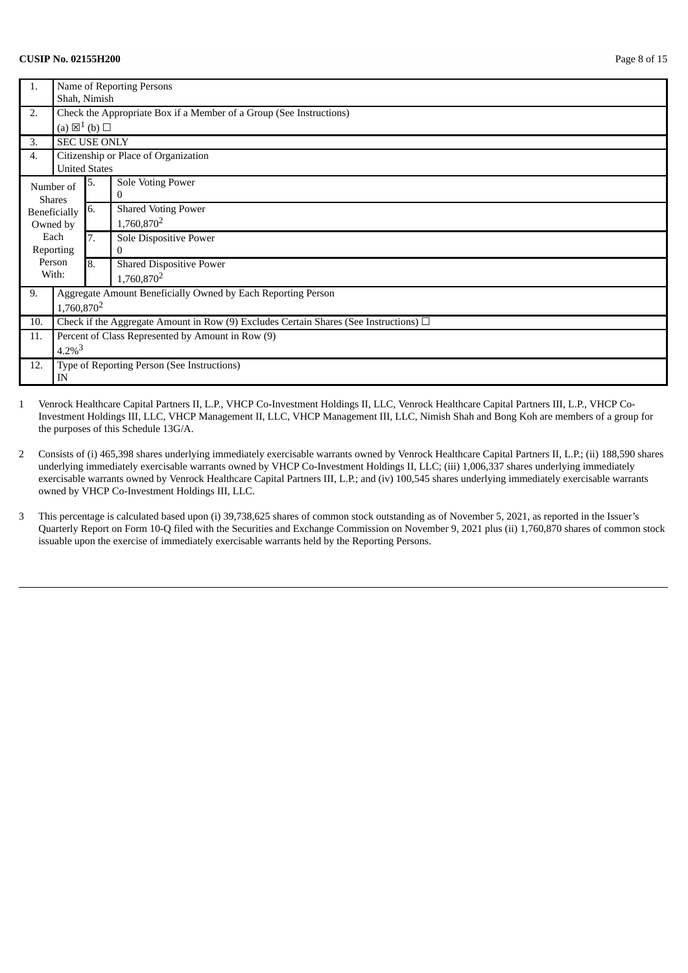#### **CUSIP No. 02155H200** Page 8 of 15

| Name of Reporting Persons<br>Shah, Nimish                                                  |  |  |  |  |
|--------------------------------------------------------------------------------------------|--|--|--|--|
| Check the Appropriate Box if a Member of a Group (See Instructions)                        |  |  |  |  |
|                                                                                            |  |  |  |  |
|                                                                                            |  |  |  |  |
|                                                                                            |  |  |  |  |
|                                                                                            |  |  |  |  |
|                                                                                            |  |  |  |  |
|                                                                                            |  |  |  |  |
|                                                                                            |  |  |  |  |
|                                                                                            |  |  |  |  |
|                                                                                            |  |  |  |  |
|                                                                                            |  |  |  |  |
|                                                                                            |  |  |  |  |
|                                                                                            |  |  |  |  |
|                                                                                            |  |  |  |  |
|                                                                                            |  |  |  |  |
| 1,760,870 <sup>2</sup>                                                                     |  |  |  |  |
| Check if the Aggregate Amount in Row (9) Excludes Certain Shares (See Instructions) $\Box$ |  |  |  |  |
|                                                                                            |  |  |  |  |
| Percent of Class Represented by Amount in Row (9)<br>$4.2\%$ <sup>3</sup>                  |  |  |  |  |
|                                                                                            |  |  |  |  |
|                                                                                            |  |  |  |  |
|                                                                                            |  |  |  |  |

- 2 Consists of (i) 465,398 shares underlying immediately exercisable warrants owned by Venrock Healthcare Capital Partners II, L.P.; (ii) 188,590 shares underlying immediately exercisable warrants owned by VHCP Co-Investment Holdings II, LLC; (iii) 1,006,337 shares underlying immediately exercisable warrants owned by Venrock Healthcare Capital Partners III, L.P.; and (iv) 100,545 shares underlying immediately exercisable warrants owned by VHCP Co-Investment Holdings III, LLC.
- 3 This percentage is calculated based upon (i) 39,738,625 shares of common stock outstanding as of November 5, 2021, as reported in the Issuer's Quarterly Report on Form 10-Q filed with the Securities and Exchange Commission on November 9, 2021 plus (ii) 1,760,870 shares of common stock issuable upon the exercise of immediately exercisable warrants held by the Reporting Persons.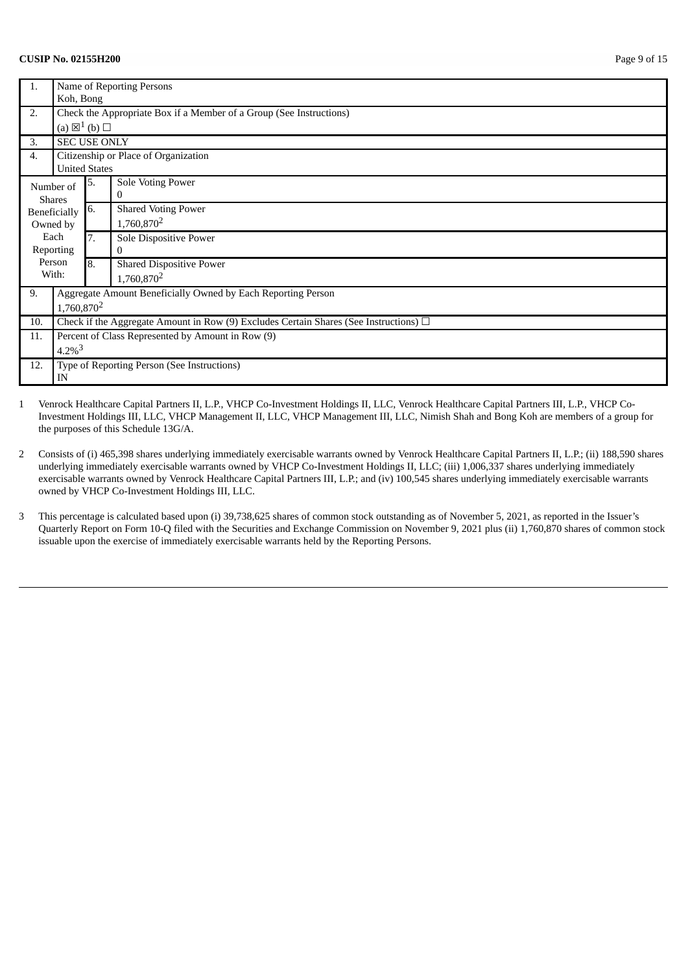#### **CUSIP No. 02155H200** Page 9 of 15

| Name of Reporting Persons                                           |                                                               |                                                                                             |  |  |
|---------------------------------------------------------------------|---------------------------------------------------------------|---------------------------------------------------------------------------------------------|--|--|
|                                                                     |                                                               |                                                                                             |  |  |
| Check the Appropriate Box if a Member of a Group (See Instructions) |                                                               |                                                                                             |  |  |
|                                                                     |                                                               |                                                                                             |  |  |
|                                                                     |                                                               |                                                                                             |  |  |
|                                                                     |                                                               | Citizenship or Place of Organization                                                        |  |  |
|                                                                     |                                                               |                                                                                             |  |  |
|                                                                     | 5.                                                            | Sole Voting Power                                                                           |  |  |
|                                                                     |                                                               | 0                                                                                           |  |  |
|                                                                     | 6.                                                            | <b>Shared Voting Power</b>                                                                  |  |  |
| Owned by                                                            |                                                               | 1,760,870 <sup>2</sup>                                                                      |  |  |
| Each                                                                | 7.                                                            | Sole Dispositive Power                                                                      |  |  |
| Reporting                                                           |                                                               | $\Omega$                                                                                    |  |  |
|                                                                     | 8.                                                            | <b>Shared Dispositive Power</b>                                                             |  |  |
|                                                                     |                                                               | 1,760,870 <sup>2</sup>                                                                      |  |  |
|                                                                     |                                                               | Aggregate Amount Beneficially Owned by Each Reporting Person                                |  |  |
| 1,760,870 <sup>2</sup>                                              |                                                               |                                                                                             |  |  |
|                                                                     |                                                               | Check if the Aggregate Amount in Row (9) Excludes Certain Shares (See Instructions) $\Box$  |  |  |
|                                                                     |                                                               | Percent of Class Represented by Amount in Row (9)                                           |  |  |
| $4.2\%$ <sup>3</sup>                                                |                                                               |                                                                                             |  |  |
|                                                                     |                                                               | Type of Reporting Person (See Instructions)                                                 |  |  |
| ΙN                                                                  |                                                               |                                                                                             |  |  |
|                                                                     | Number of<br><b>Shares</b><br>Beneficially<br>Person<br>With: | Koh, Bong<br>(a) $\boxtimes^1$ (b) $\square$<br><b>SEC USE ONLY</b><br><b>United States</b> |  |  |

- 2 Consists of (i) 465,398 shares underlying immediately exercisable warrants owned by Venrock Healthcare Capital Partners II, L.P.; (ii) 188,590 shares underlying immediately exercisable warrants owned by VHCP Co-Investment Holdings II, LLC; (iii) 1,006,337 shares underlying immediately exercisable warrants owned by Venrock Healthcare Capital Partners III, L.P.; and (iv) 100,545 shares underlying immediately exercisable warrants owned by VHCP Co-Investment Holdings III, LLC.
- 3 This percentage is calculated based upon (i) 39,738,625 shares of common stock outstanding as of November 5, 2021, as reported in the Issuer's Quarterly Report on Form 10-Q filed with the Securities and Exchange Commission on November 9, 2021 plus (ii) 1,760,870 shares of common stock issuable upon the exercise of immediately exercisable warrants held by the Reporting Persons.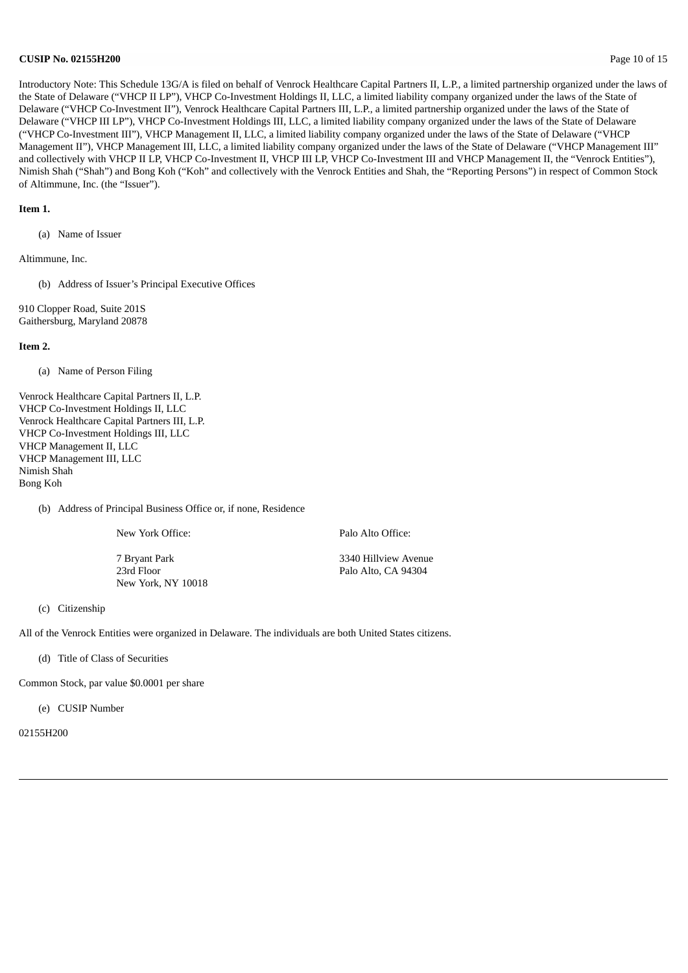#### **CUSIP No. 02155H200** Page 10 of 15

Introductory Note: This Schedule 13G/A is filed on behalf of Venrock Healthcare Capital Partners II, L.P., a limited partnership organized under the laws of the State of Delaware ("VHCP II LP"), VHCP Co-Investment Holdings II, LLC, a limited liability company organized under the laws of the State of Delaware ("VHCP Co-Investment II"), Venrock Healthcare Capital Partners III, L.P., a limited partnership organized under the laws of the State of Delaware ("VHCP III LP"), VHCP Co-Investment Holdings III, LLC, a limited liability company organized under the laws of the State of Delaware ("VHCP Co-Investment III"), VHCP Management II, LLC, a limited liability company organized under the laws of the State of Delaware ("VHCP Management II"), VHCP Management III, LLC, a limited liability company organized under the laws of the State of Delaware ("VHCP Management III" and collectively with VHCP II LP, VHCP Co-Investment II, VHCP III LP, VHCP Co-Investment III and VHCP Management II, the "Venrock Entities"), Nimish Shah ("Shah") and Bong Koh ("Koh" and collectively with the Venrock Entities and Shah, the "Reporting Persons") in respect of Common Stock of Altimmune, Inc. (the "Issuer").

#### **Item 1.**

(a) Name of Issuer

Altimmune, Inc.

(b) Address of Issuer's Principal Executive Offices

910 Clopper Road, Suite 201S Gaithersburg, Maryland 20878

#### **Item 2.**

(a) Name of Person Filing

Venrock Healthcare Capital Partners II, L.P. VHCP Co-Investment Holdings II, LLC Venrock Healthcare Capital Partners III, L.P. VHCP Co-Investment Holdings III, LLC VHCP Management II, LLC VHCP Management III, LLC Nimish Shah Bong Koh

#### (b) Address of Principal Business Office or, if none, Residence

New York Office: Palo Alto Office:

7 Bryant Park 3340 Hillview Avenue 23rd Floor Palo Alto, CA 94304 New York, NY 10018

(c) Citizenship

All of the Venrock Entities were organized in Delaware. The individuals are both United States citizens.

(d) Title of Class of Securities

Common Stock, par value \$0.0001 per share

(e) CUSIP Number

02155H200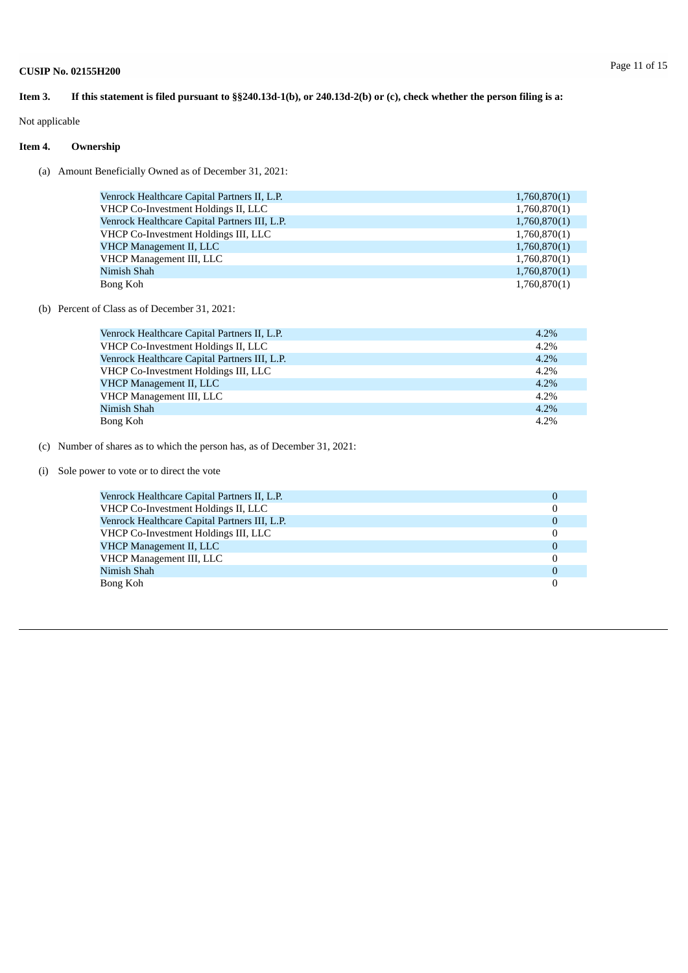Not applicable

### **Item 4. Ownership**

(a) Amount Beneficially Owned as of December 31, 2021:

| Venrock Healthcare Capital Partners II, L.P.        | 1,760,870(1) |  |  |  |  |
|-----------------------------------------------------|--------------|--|--|--|--|
| VHCP Co-Investment Holdings II, LLC<br>1,760,870(1) |              |  |  |  |  |
| Venrock Healthcare Capital Partners III, L.P.       | 1,760,870(1) |  |  |  |  |
| VHCP Co-Investment Holdings III, LLC                | 1,760,870(1) |  |  |  |  |
| <b>VHCP Management II, LLC</b>                      | 1,760,870(1) |  |  |  |  |
| VHCP Management III, LLC                            | 1,760,870(1) |  |  |  |  |
| Nimish Shah                                         | 1,760,870(1) |  |  |  |  |
| Bong Koh                                            | 1,760,870(1) |  |  |  |  |

#### (b) Percent of Class as of December 31, 2021:

| Venrock Healthcare Capital Partners II, L.P.  | $4.2\%$ |
|-----------------------------------------------|---------|
| VHCP Co-Investment Holdings II, LLC           | 4.2%    |
| Venrock Healthcare Capital Partners III, L.P. | 4.2%    |
| VHCP Co-Investment Holdings III, LLC          | $4.2\%$ |
| VHCP Management II, LLC                       | $4.2\%$ |
| VHCP Management III, LLC                      | 4.2%    |
| Nimish Shah                                   | 4.2%    |
| Bong Koh                                      | 4.2%    |

(c) Number of shares as to which the person has, as of December 31, 2021:

(i) Sole power to vote or to direct the vote

| Venrock Healthcare Capital Partners II, L.P.  | 0        |
|-----------------------------------------------|----------|
| VHCP Co-Investment Holdings II, LLC           | 0        |
| Venrock Healthcare Capital Partners III, L.P. | 0        |
| VHCP Co-Investment Holdings III, LLC          | 0        |
| <b>VHCP Management II, LLC</b>                | $\Omega$ |
| VHCP Management III, LLC                      | $\Omega$ |
| Nimish Shah                                   | $\Omega$ |
| Bong Koh                                      |          |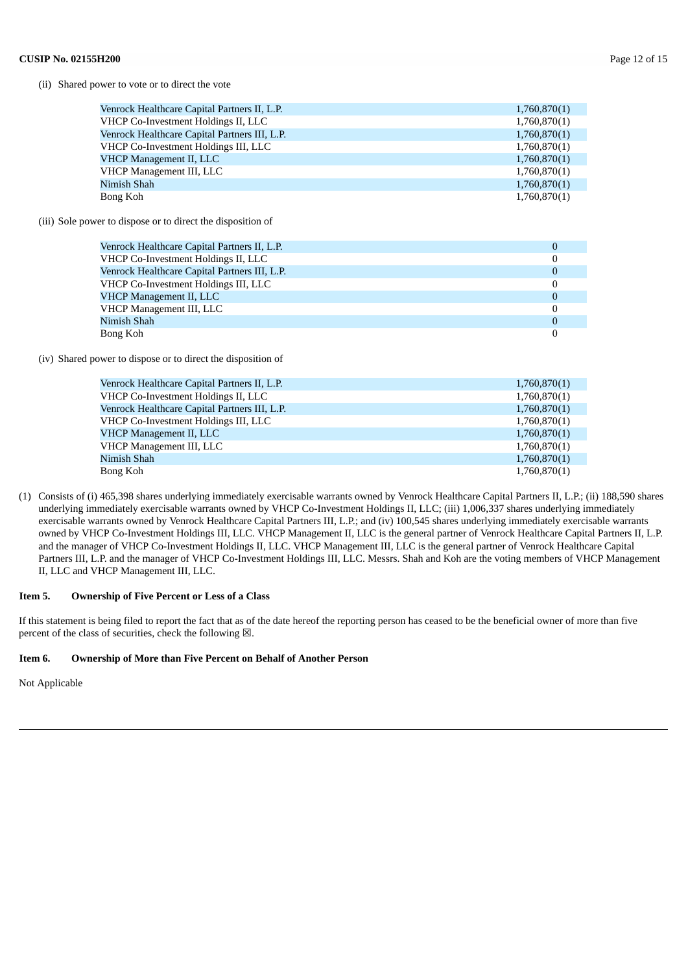#### (ii) Shared power to vote or to direct the vote

| Venrock Healthcare Capital Partners II, L.P.  | 1,760,870(1) |
|-----------------------------------------------|--------------|
| VHCP Co-Investment Holdings II, LLC           | 1,760,870(1) |
| Venrock Healthcare Capital Partners III, L.P. | 1,760,870(1) |
| VHCP Co-Investment Holdings III, LLC          | 1,760,870(1) |
| <b>VHCP Management II, LLC</b>                | 1,760,870(1) |
| VHCP Management III, LLC                      | 1,760,870(1) |
| Nimish Shah                                   | 1,760,870(1) |
| Bong Koh                                      | 1,760,870(1) |

(iii) Sole power to dispose or to direct the disposition of

| Venrock Healthcare Capital Partners II, L.P.  |          |
|-----------------------------------------------|----------|
| VHCP Co-Investment Holdings II, LLC           |          |
| Venrock Healthcare Capital Partners III, L.P. | $\Omega$ |
| VHCP Co-Investment Holdings III, LLC          |          |
| <b>VHCP Management II, LLC</b>                | $\Omega$ |
| VHCP Management III, LLC                      |          |
| Nimish Shah                                   | $\theta$ |
| Bong Koh                                      |          |

(iv) Shared power to dispose or to direct the disposition of

| Venrock Healthcare Capital Partners II, L.P.  | 1,760,870(1) |
|-----------------------------------------------|--------------|
| VHCP Co-Investment Holdings II, LLC           | 1,760,870(1) |
| Venrock Healthcare Capital Partners III, L.P. | 1,760,870(1) |
| VHCP Co-Investment Holdings III, LLC          | 1,760,870(1) |
| VHCP Management II, LLC                       | 1,760,870(1) |
| VHCP Management III, LLC                      | 1,760,870(1) |
| Nimish Shah                                   | 1,760,870(1) |
| Bong Koh                                      | 1,760,870(1) |
|                                               |              |

(1) Consists of (i) 465,398 shares underlying immediately exercisable warrants owned by Venrock Healthcare Capital Partners II, L.P.; (ii) 188,590 shares underlying immediately exercisable warrants owned by VHCP Co-Investment Holdings II, LLC; (iii) 1,006,337 shares underlying immediately exercisable warrants owned by Venrock Healthcare Capital Partners III, L.P.; and (iv) 100,545 shares underlying immediately exercisable warrants owned by VHCP Co-Investment Holdings III, LLC. VHCP Management II, LLC is the general partner of Venrock Healthcare Capital Partners II, L.P. and the manager of VHCP Co-Investment Holdings II, LLC. VHCP Management III, LLC is the general partner of Venrock Healthcare Capital Partners III, L.P. and the manager of VHCP Co-Investment Holdings III, LLC. Messrs. Shah and Koh are the voting members of VHCP Management II, LLC and VHCP Management III, LLC.

#### **Item 5. Ownership of Five Percent or Less of a Class**

If this statement is being filed to report the fact that as of the date hereof the reporting person has ceased to be the beneficial owner of more than five percent of the class of securities, check the following  $\boxtimes$ .

#### **Item 6. Ownership of More than Five Percent on Behalf of Another Person**

Not Applicable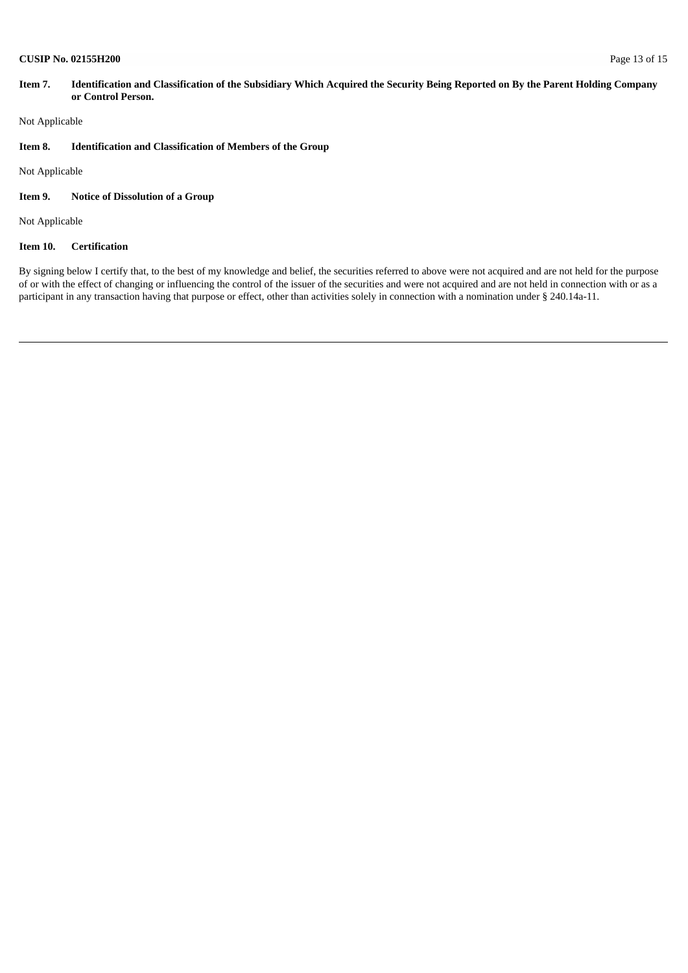#### **CUSIP No. 02155H200** Page 13 of 15

#### Item 7. Identification and Classification of the Subsidiary Which Acquired the Security Being Reported on By the Parent Holding Company **or Control Person.**

Not Applicable

#### **Item 8. Identification and Classification of Members of the Group**

Not Applicable

### **Item 9. Notice of Dissolution of a Group**

Not Applicable

### **Item 10. Certification**

By signing below I certify that, to the best of my knowledge and belief, the securities referred to above were not acquired and are not held for the purpose of or with the effect of changing or influencing the control of the issuer of the securities and were not acquired and are not held in connection with or as a participant in any transaction having that purpose or effect, other than activities solely in connection with a nomination under § 240.14a-11.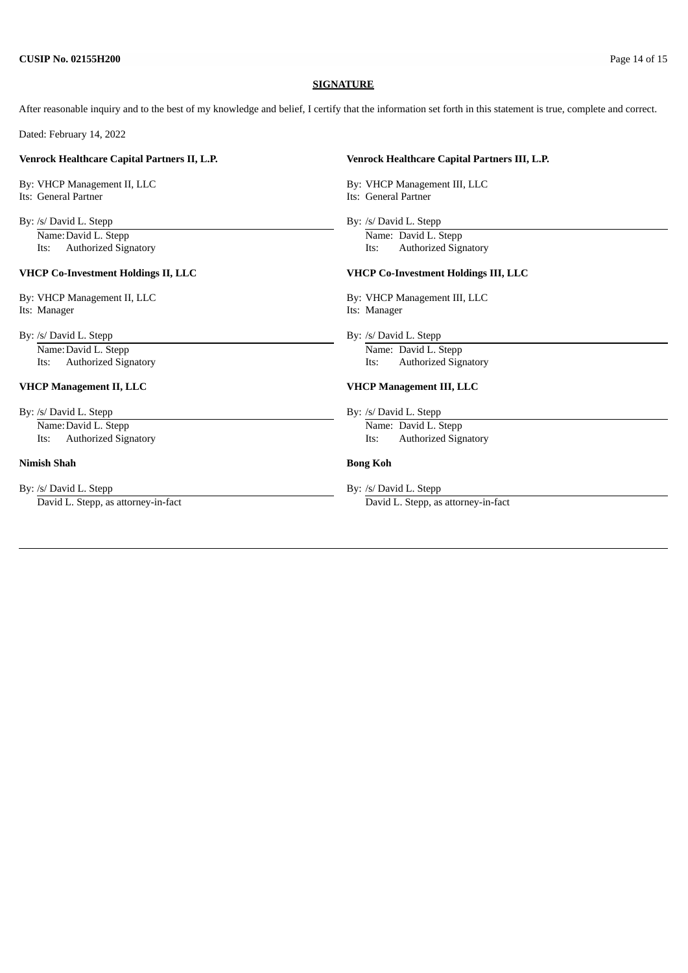#### **SIGNATURE**

After reasonable inquiry and to the best of my knowledge and belief, I certify that the information set forth in this statement is true, complete and correct.

Dated: February 14, 2022

Its: General Partner **Its: General Partner** Its: General Partner

Name: David L. Stepp Name: David L. Stepp

#### **VHCP Co-Investment Holdings II, LLC VHCP Co-Investment Holdings III, LLC**

Its: Manager Its: Manager

By: /s/ David L. Stepp By: /s/ David L. Stepp

By: /s/ David L. Stepp By: /s/ David L. Stepp By: /s/ David L. Stepp By: /s/ David L. Stepp By: /s/ David L. Stepp By: /s/ David L. Stepp By: /s/ David L. Stepp By: /s/ David L. Stepp By: /s/ David L. Stepp By: /s/ David L Name: David L. Stepp Name: David L. Stepp

#### **Nimish Shah Bong Koh**

By: /s/ David L. Stepp By: /s/ David L. Stepp By: /s/ David L. Stepp By: /s/ David L. Stepp By: /s/ David L. Stepp By: /s/ David L. Stepp By: /s/ David L. Stepp By: /s/ David L. Stepp By: /s/ David L. Stepp By: /s/ David L

#### **Venrock Healthcare Capital Partners II, L.P. Venrock Healthcare Capital Partners III, L.P.**

By: VHCP Management II, LLC By: VHCP Management III, LLC

By: /s/ David L. Stepp By: /s/ David L. Stepp

Its: Authorized Signatory Its: Authorized Signatory

By: VHCP Management II, LLC By: VHCP Management III, LLC

Name: David L. Stepp Name: David L. Stepp Name: David L. Stepp Its: Authorized Signatory Its: Authorized Signatory

#### **VHCP Management II, LLC VHCP Management III, LLC**

Its: Authorized Signatory Its: Authorized Signatory

David L. Stepp, as attorney-in-fact David L. Stepp, as attorney-in-fact